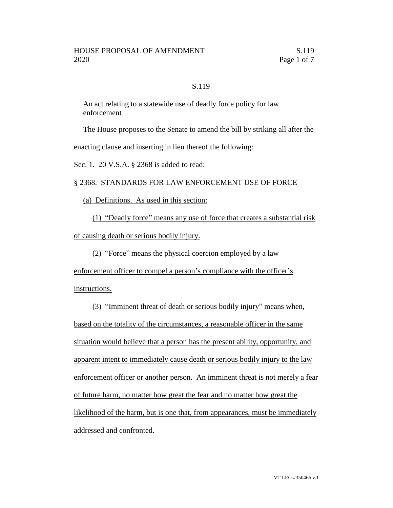## S.119

An act relating to a statewide use of deadly force policy for law enforcement

The House proposes to the Senate to amend the bill by striking all after the

enacting clause and inserting in lieu thereof the following:

Sec. 1. 20 V.S.A. § 2368 is added to read:

## § 2368. STANDARDS FOR LAW ENFORCEMENT USE OF FORCE

(a) Definitions. As used in this section:

(1) "Deadly force" means any use of force that creates a substantial risk of causing death or serious bodily injury.

(2) "Force" means the physical coercion employed by a law

enforcement officer to compel a person's compliance with the officer's

instructions.

(3) "Imminent threat of death or serious bodily injury" means when, based on the totality of the circumstances, a reasonable officer in the same situation would believe that a person has the present ability, opportunity, and apparent intent to immediately cause death or serious bodily injury to the law enforcement officer or another person. An imminent threat is not merely a fear of future harm, no matter how great the fear and no matter how great the likelihood of the harm, but is one that, from appearances, must be immediately addressed and confronted.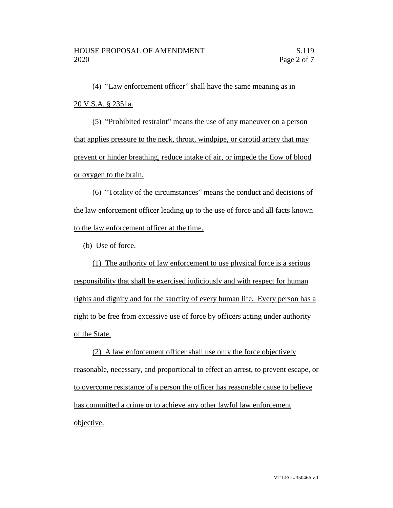(4) "Law enforcement officer" shall have the same meaning as in 20 V.S.A. § 2351a.

(5) "Prohibited restraint" means the use of any maneuver on a person that applies pressure to the neck, throat, windpipe, or carotid artery that may prevent or hinder breathing, reduce intake of air, or impede the flow of blood or oxygen to the brain.

(6) "Totality of the circumstances" means the conduct and decisions of the law enforcement officer leading up to the use of force and all facts known to the law enforcement officer at the time.

(b) Use of force.

(1) The authority of law enforcement to use physical force is a serious responsibility that shall be exercised judiciously and with respect for human rights and dignity and for the sanctity of every human life. Every person has a right to be free from excessive use of force by officers acting under authority of the State.

(2) A law enforcement officer shall use only the force objectively reasonable, necessary, and proportional to effect an arrest, to prevent escape, or to overcome resistance of a person the officer has reasonable cause to believe has committed a crime or to achieve any other lawful law enforcement objective.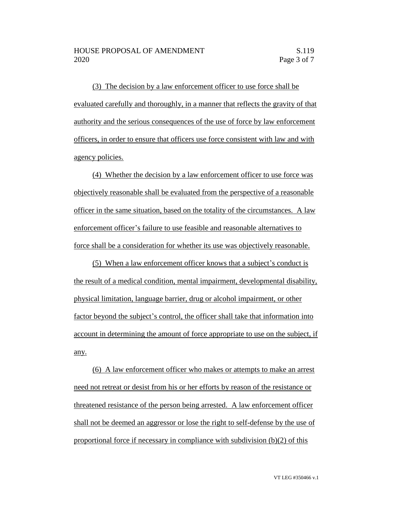(3) The decision by a law enforcement officer to use force shall be evaluated carefully and thoroughly, in a manner that reflects the gravity of that authority and the serious consequences of the use of force by law enforcement officers, in order to ensure that officers use force consistent with law and with agency policies.

(4) Whether the decision by a law enforcement officer to use force was objectively reasonable shall be evaluated from the perspective of a reasonable officer in the same situation, based on the totality of the circumstances. A law enforcement officer's failure to use feasible and reasonable alternatives to force shall be a consideration for whether its use was objectively reasonable.

(5) When a law enforcement officer knows that a subject's conduct is the result of a medical condition, mental impairment, developmental disability, physical limitation, language barrier, drug or alcohol impairment, or other factor beyond the subject's control, the officer shall take that information into account in determining the amount of force appropriate to use on the subject, if any.

(6) A law enforcement officer who makes or attempts to make an arrest need not retreat or desist from his or her efforts by reason of the resistance or threatened resistance of the person being arrested. A law enforcement officer shall not be deemed an aggressor or lose the right to self-defense by the use of proportional force if necessary in compliance with subdivision (b)(2) of this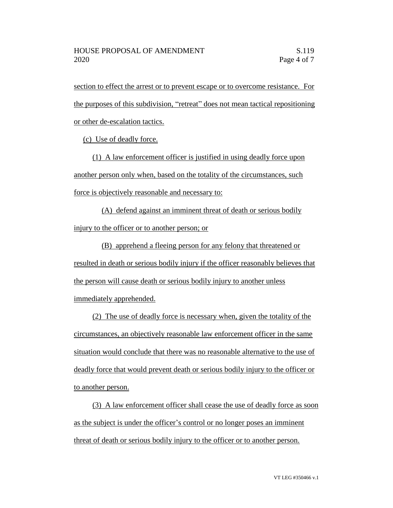section to effect the arrest or to prevent escape or to overcome resistance. For the purposes of this subdivision, "retreat" does not mean tactical repositioning or other de-escalation tactics.

(c) Use of deadly force.

(1) A law enforcement officer is justified in using deadly force upon another person only when, based on the totality of the circumstances, such force is objectively reasonable and necessary to:

(A) defend against an imminent threat of death or serious bodily injury to the officer or to another person; or

(B) apprehend a fleeing person for any felony that threatened or resulted in death or serious bodily injury if the officer reasonably believes that the person will cause death or serious bodily injury to another unless immediately apprehended.

(2) The use of deadly force is necessary when, given the totality of the circumstances, an objectively reasonable law enforcement officer in the same situation would conclude that there was no reasonable alternative to the use of deadly force that would prevent death or serious bodily injury to the officer or to another person.

(3) A law enforcement officer shall cease the use of deadly force as soon as the subject is under the officer's control or no longer poses an imminent threat of death or serious bodily injury to the officer or to another person.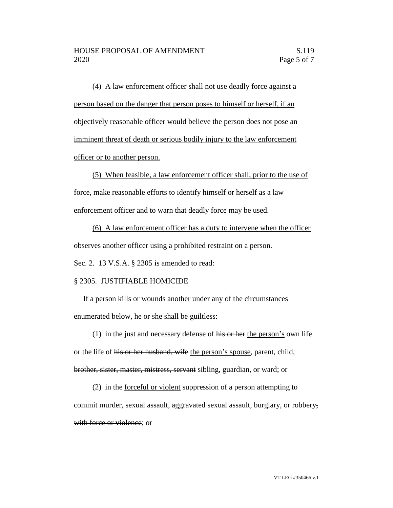(4) A law enforcement officer shall not use deadly force against a person based on the danger that person poses to himself or herself, if an objectively reasonable officer would believe the person does not pose an imminent threat of death or serious bodily injury to the law enforcement officer or to another person.

(5) When feasible, a law enforcement officer shall, prior to the use of force, make reasonable efforts to identify himself or herself as a law enforcement officer and to warn that deadly force may be used.

(6) A law enforcement officer has a duty to intervene when the officer observes another officer using a prohibited restraint on a person.

Sec. 2. 13 V.S.A. § 2305 is amended to read:

## § 2305. JUSTIFIABLE HOMICIDE

If a person kills or wounds another under any of the circumstances enumerated below, he or she shall be guiltless:

(1) in the just and necessary defense of  $\overline{his}$  or her the person's own life

or the life of his or her husband, wife the person's spouse, parent, child, brother, sister, master, mistress, servant sibling, guardian, or ward; or

(2) in the forceful or violent suppression of a person attempting to commit murder, sexual assault, aggravated sexual assault, burglary, or robbery,

with force or violence; or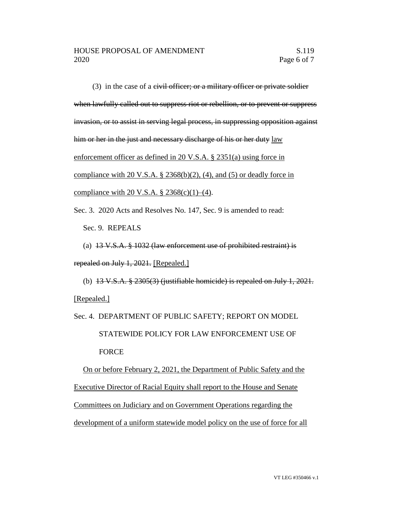(3) in the case of a civil officer; or a military officer or private soldier when lawfully called out to suppress riot or rebellion, or to prevent or suppress invasion, or to assist in serving legal process, in suppressing opposition against him or her in the just and necessary discharge of his or her duty law enforcement officer as defined in 20 V.S.A. § 2351(a) using force in compliance with 20 V.S.A. § 2368(b)(2), (4), and (5) or deadly force in compliance with 20 V.S.A.  $\S 2368(c)(1)–(4)$ .

Sec. 3. 2020 Acts and Resolves No. 147, Sec. 9 is amended to read:

Sec. 9. REPEALS

(a)  $13 \text{ V.S.A. }$  §  $1032$  (law enforcement use of prohibited restraint) is repealed on July 1, 2021. [Repealed.]

(b)  $13 \text{V.S.A.}$   $\frac{8}{2305(3)}$  (justifiable homicide) is repealed on July 1, 2021. [Repealed.]

Sec. 4. DEPARTMENT OF PUBLIC SAFETY; REPORT ON MODEL STATEWIDE POLICY FOR LAW ENFORCEMENT USE OF FORCE On or before February 2, 2021, the Department of Public Safety and the

Executive Director of Racial Equity shall report to the House and Senate Committees on Judiciary and on Government Operations regarding the development of a uniform statewide model policy on the use of force for all